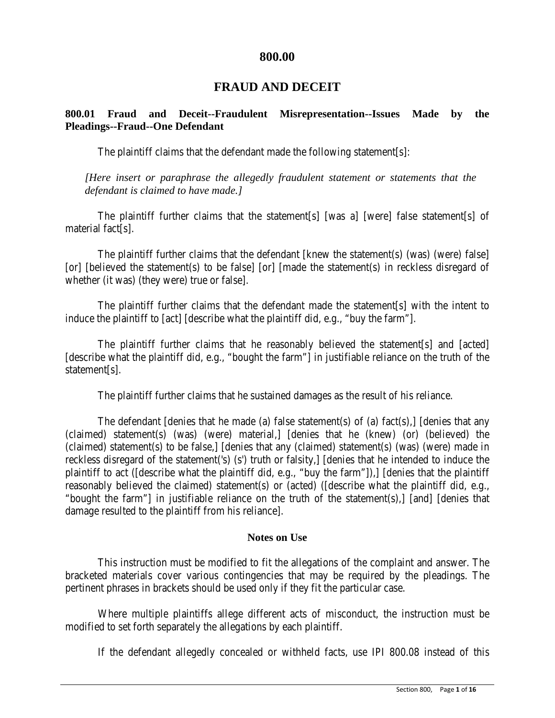# **800.00**

# **FRAUD AND DECEIT**

# **800.01 Fraud and Deceit--Fraudulent Misrepresentation--Issues Made by the Pleadings--Fraud--One Defendant**

The plaintiff claims that the defendant made the following statement[s]:

*[Here insert or paraphrase the allegedly fraudulent statement or statements that the defendant is claimed to have made.]*

The plaintiff further claims that the statement[s] [was a] [were] false statement[s] of material fact[s].

The plaintiff further claims that the defendant [knew the statement(s) (was) (were) false] [or] [believed the statement(s) to be false] [or] [made the statement(s) in reckless disregard of whether (it was) (they were) true or false].

The plaintiff further claims that the defendant made the statement[s] with the intent to induce the plaintiff to [act] [describe what the plaintiff did, e.g., "buy the farm"].

The plaintiff further claims that he reasonably believed the statement[s] and [acted] [describe what the plaintiff did, e.g., "bought the farm"] in justifiable reliance on the truth of the statement[s].

The plaintiff further claims that he sustained damages as the result of his reliance.

The defendant [denies that he made (a) false statement(s) of (a) fact(s), [denies that any (claimed) statement(s) (was) (were) material,] [denies that he (knew) (or) (believed) the (claimed) statement(s) to be false,] [denies that any (claimed) statement(s) (was) (were) made in reckless disregard of the statement('s) (s') truth or falsity,] [denies that he intended to induce the plaintiff to act ([describe what the plaintiff did, e.g., "buy the farm"]),] [denies that the plaintiff reasonably believed the claimed) statement(s) or (acted) ([describe what the plaintiff did, e.g., "bought the farm"] in justifiable reliance on the truth of the statement(s),] [and] [denies that damage resulted to the plaintiff from his reliance].

#### **Notes on Use**

This instruction must be modified to fit the allegations of the complaint and answer. The bracketed materials cover various contingencies that may be required by the pleadings. The pertinent phrases in brackets should be used only if they fit the particular case.

Where multiple plaintiffs allege different acts of misconduct, the instruction must be modified to set forth separately the allegations by each plaintiff.

If the defendant allegedly concealed or withheld facts, use IPI 800.08 instead of this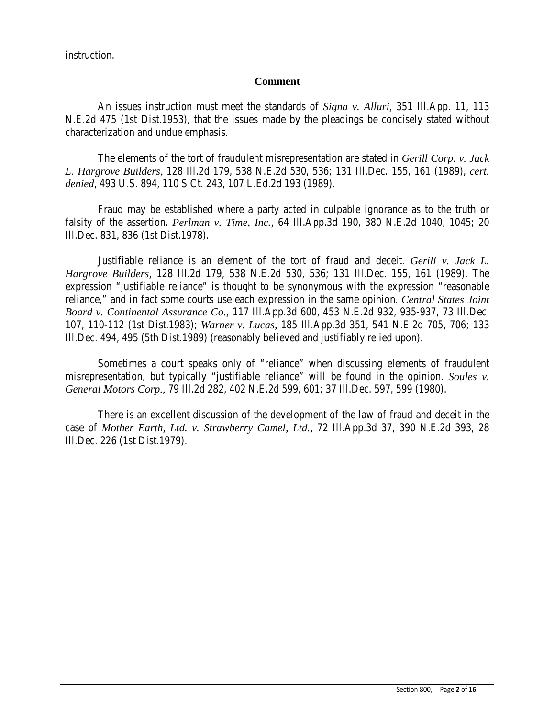instruction.

## **Comment**

An issues instruction must meet the standards of *Signa v. Alluri,* 351 Ill.App. 11, 113 N.E.2d 475 (1st Dist.1953), that the issues made by the pleadings be concisely stated without characterization and undue emphasis.

The elements of the tort of fraudulent misrepresentation are stated in *Gerill Corp. v. Jack L. Hargrove Builders,* 128 Ill.2d 179, 538 N.E.2d 530, 536; 131 Ill.Dec. 155, 161 (1989), *cert. denied*, 493 U.S. 894, 110 S.Ct. 243, 107 L.Ed.2d 193 (1989).

Fraud may be established where a party acted in culpable ignorance as to the truth or falsity of the assertion. *Perlman v. Time, Inc.,* 64 Ill.App.3d 190, 380 N.E.2d 1040, 1045; 20 Ill.Dec. 831, 836 (1st Dist.1978).

Justifiable reliance is an element of the tort of fraud and deceit. *Gerill v. Jack L. Hargrove Builders,* 128 Ill.2d 179, 538 N.E.2d 530, 536; 131 Ill.Dec. 155, 161 (1989). The expression "justifiable reliance" is thought to be synonymous with the expression "reasonable reliance," and in fact some courts use each expression in the same opinion. *Central States Joint Board v. Continental Assurance Co.,* 117 Ill.App.3d 600, 453 N.E.2d 932, 935-937, 73 Ill.Dec. 107, 110-112 (1st Dist.1983); *Warner v. Lucas,* 185 Ill.App.3d 351, 541 N.E.2d 705, 706; 133 Ill.Dec. 494, 495 (5th Dist.1989) (reasonably believed and justifiably relied upon).

Sometimes a court speaks only of "reliance" when discussing elements of fraudulent misrepresentation, but typically "justifiable reliance" will be found in the opinion. *Soules v. General Motors Corp.,* 79 Ill.2d 282, 402 N.E.2d 599, 601; 37 Ill.Dec. 597, 599 (1980).

There is an excellent discussion of the development of the law of fraud and deceit in the case of *Mother Earth, Ltd. v. Strawberry Camel, Ltd.,* 72 Ill.App.3d 37, 390 N.E.2d 393, 28 Ill.Dec. 226 (1st Dist.1979).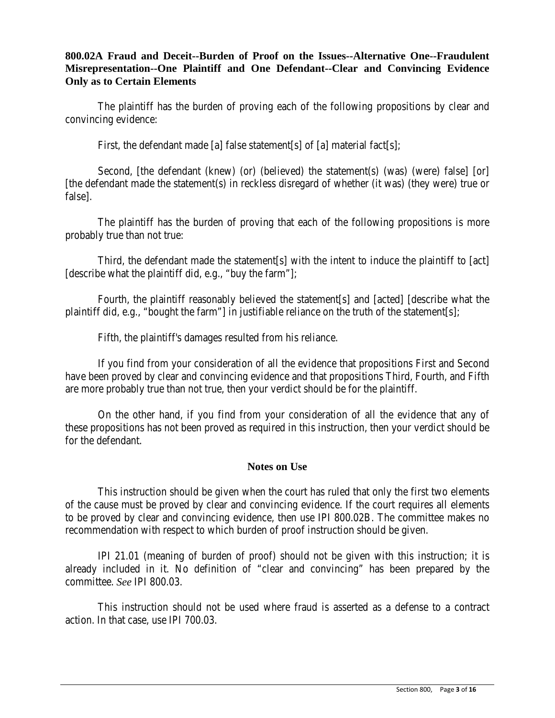# **800.02A Fraud and Deceit--Burden of Proof on the Issues--Alternative One--Fraudulent Misrepresentation--One Plaintiff and One Defendant--Clear and Convincing Evidence Only as to Certain Elements**

The plaintiff has the burden of proving each of the following propositions by clear and convincing evidence:

First, the defendant made [a] false statement[s] of [a] material fact[s];

Second, [the defendant (knew) (or) (believed) the statement(s) (was) (were) false] [or] [the defendant made the statement(s) in reckless disregard of whether (it was) (they were) true or false].

The plaintiff has the burden of proving that each of the following propositions is more probably true than not true:

Third, the defendant made the statement[s] with the intent to induce the plaintiff to [act] [describe what the plaintiff did, e.g., "buy the farm"];

Fourth, the plaintiff reasonably believed the statement[s] and [acted] [describe what the plaintiff did, e.g., "bought the farm"] in justifiable reliance on the truth of the statement[s];

Fifth, the plaintiff's damages resulted from his reliance.

If you find from your consideration of all the evidence that propositions First and Second have been proved by clear and convincing evidence and that propositions Third, Fourth, and Fifth are more probably true than not true, then your verdict should be for the plaintiff.

On the other hand, if you find from your consideration of all the evidence that any of these propositions has not been proved as required in this instruction, then your verdict should be for the defendant.

# **Notes on Use**

This instruction should be given when the court has ruled that only the first two elements of the cause must be proved by clear and convincing evidence. If the court requires all elements to be proved by clear and convincing evidence, then use IPI 800.02B. The committee makes no recommendation with respect to which burden of proof instruction should be given.

IPI 21.01 (meaning of burden of proof) should not be given with this instruction; it is already included in it. No definition of "clear and convincing" has been prepared by the committee. *See* IPI 800.03.

This instruction should not be used where fraud is asserted as a defense to a contract action. In that case, use IPI 700.03.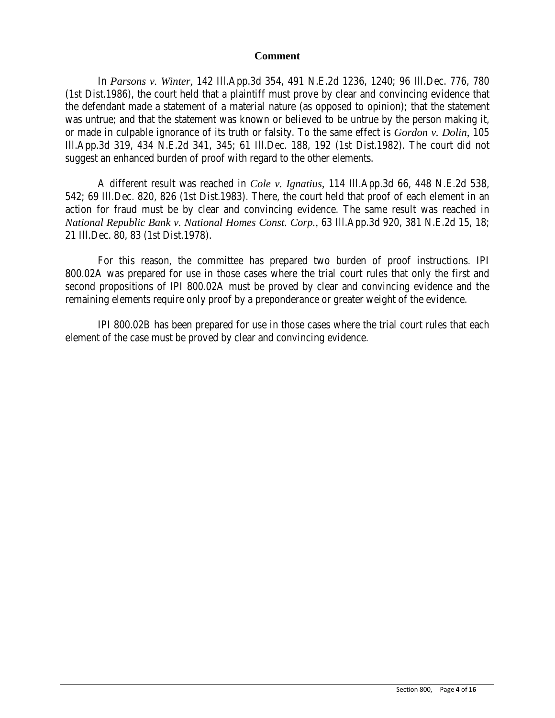#### **Comment**

In *Parsons v. Winter,* 142 Ill.App.3d 354, 491 N.E.2d 1236, 1240; 96 Ill.Dec. 776, 780 (1st Dist.1986), the court held that a plaintiff must prove by clear and convincing evidence that the defendant made a statement of a material nature (as opposed to opinion); that the statement was untrue; and that the statement was known or believed to be untrue by the person making it, or made in culpable ignorance of its truth or falsity. To the same effect is *Gordon v. Dolin,* 105 Ill.App.3d 319, 434 N.E.2d 341, 345; 61 Ill.Dec. 188, 192 (1st Dist.1982). The court did not suggest an enhanced burden of proof with regard to the other elements.

A different result was reached in *Cole v. Ignatius,* 114 Ill.App.3d 66, 448 N.E.2d 538, 542; 69 Ill.Dec. 820, 826 (1st Dist.1983). There, the court held that proof of each element in an action for fraud must be by clear and convincing evidence. The same result was reached in *National Republic Bank v. National Homes Const. Corp.,* 63 Ill.App.3d 920, 381 N.E.2d 15, 18; 21 Ill.Dec. 80, 83 (1st Dist.1978).

For this reason, the committee has prepared two burden of proof instructions. IPI 800.02A was prepared for use in those cases where the trial court rules that only the first and second propositions of IPI 800.02A must be proved by clear and convincing evidence and the remaining elements require only proof by a preponderance or greater weight of the evidence.

IPI 800.02B has been prepared for use in those cases where the trial court rules that each element of the case must be proved by clear and convincing evidence.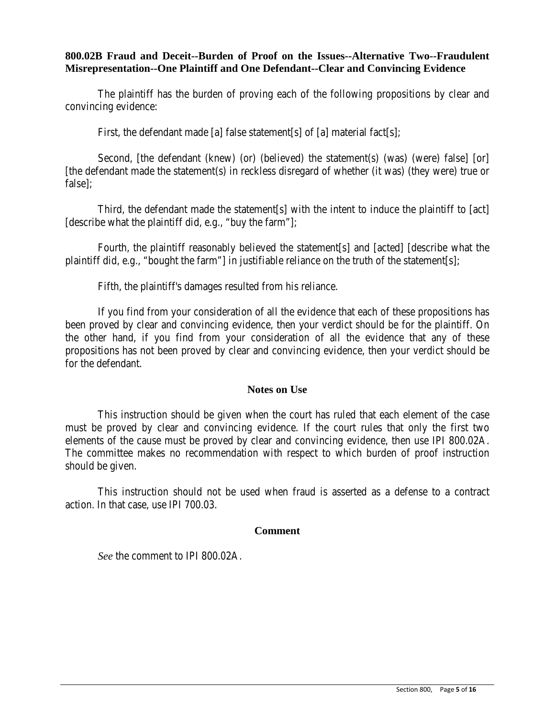## **800.02B Fraud and Deceit--Burden of Proof on the Issues--Alternative Two--Fraudulent Misrepresentation--One Plaintiff and One Defendant--Clear and Convincing Evidence**

The plaintiff has the burden of proving each of the following propositions by clear and convincing evidence:

First, the defendant made [a] false statement[s] of [a] material fact[s];

Second, [the defendant (knew) (or) (believed) the statement(s) (was) (were) false] [or] [the defendant made the statement(s) in reckless disregard of whether (it was) (they were) true or false];

Third, the defendant made the statement[s] with the intent to induce the plaintiff to [act] [describe what the plaintiff did, e.g., "buy the farm"];

Fourth, the plaintiff reasonably believed the statement[s] and [acted] [describe what the plaintiff did, e.g., "bought the farm"] in justifiable reliance on the truth of the statement[s];

Fifth, the plaintiff's damages resulted from his reliance.

If you find from your consideration of all the evidence that each of these propositions has been proved by clear and convincing evidence, then your verdict should be for the plaintiff. On the other hand, if you find from your consideration of all the evidence that any of these propositions has not been proved by clear and convincing evidence, then your verdict should be for the defendant.

## **Notes on Use**

This instruction should be given when the court has ruled that each element of the case must be proved by clear and convincing evidence. If the court rules that only the first two elements of the cause must be proved by clear and convincing evidence, then use IPI 800.02A. The committee makes no recommendation with respect to which burden of proof instruction should be given.

This instruction should not be used when fraud is asserted as a defense to a contract action. In that case, use IPI 700.03.

#### **Comment**

*See* the comment to IPI 800.02A.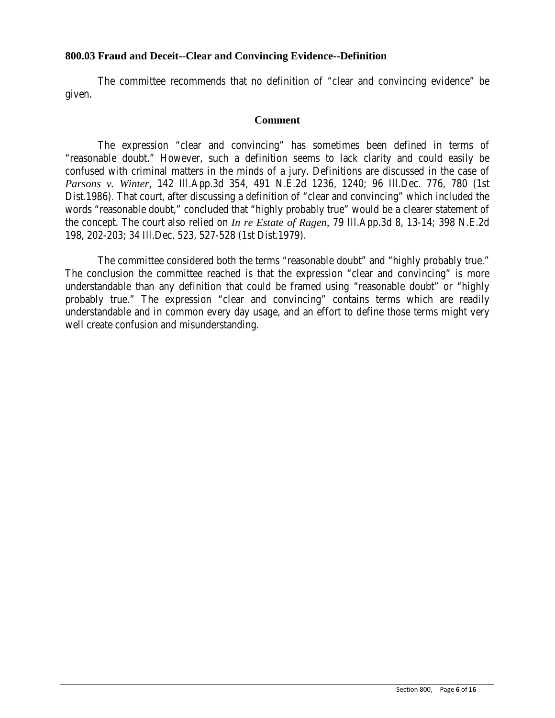### **800.03 Fraud and Deceit--Clear and Convincing Evidence--Definition**

The committee recommends that no definition of "clear and convincing evidence" be given.

#### **Comment**

The expression "clear and convincing" has sometimes been defined in terms of "reasonable doubt." However, such a definition seems to lack clarity and could easily be confused with criminal matters in the minds of a jury. Definitions are discussed in the case of *Parsons v. Winter,* 142 Ill.App.3d 354, 491 N.E.2d 1236, 1240; 96 Ill.Dec. 776, 780 (1st Dist.1986). That court, after discussing a definition of "clear and convincing" which included the words "reasonable doubt," concluded that "highly probably true" would be a clearer statement of the concept. The court also relied on *In re Estate of Ragen,* 79 Ill.App.3d 8, 13-14; 398 N.E.2d 198, 202-203; 34 Ill.Dec. 523, 527-528 (1st Dist.1979).

The committee considered both the terms "reasonable doubt" and "highly probably true." The conclusion the committee reached is that the expression "clear and convincing" is more understandable than any definition that could be framed using "reasonable doubt" or "highly probably true." The expression "clear and convincing" contains terms which are readily understandable and in common every day usage, and an effort to define those terms might very well create confusion and misunderstanding.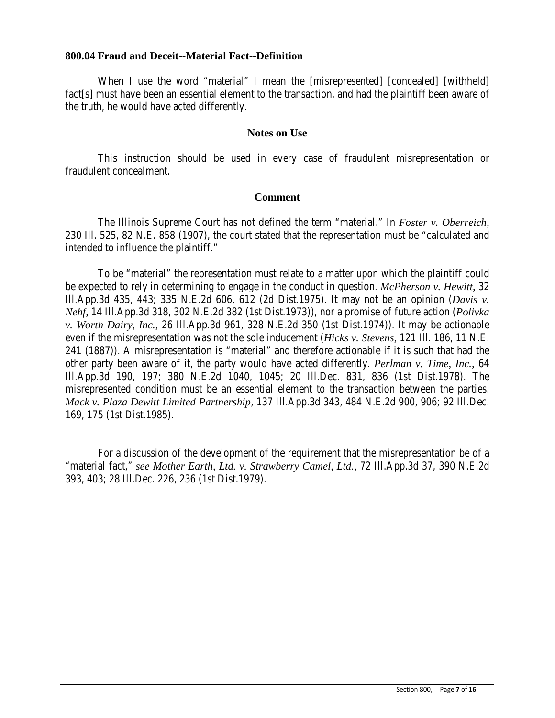### **800.04 Fraud and Deceit--Material Fact--Definition**

When I use the word "material" I mean the [misrepresented] [concealed] [withheld] fact[s] must have been an essential element to the transaction, and had the plaintiff been aware of the truth, he would have acted differently.

### **Notes on Use**

This instruction should be used in every case of fraudulent misrepresentation or fraudulent concealment.

### **Comment**

The Illinois Supreme Court has not defined the term "material." In *Foster v. Oberreich,* 230 Ill. 525, 82 N.E. 858 (1907), the court stated that the representation must be "calculated and intended to influence the plaintiff."

To be "material" the representation must relate to a matter upon which the plaintiff could be expected to rely in determining to engage in the conduct in question. *McPherson v. Hewitt,* 32 Ill.App.3d 435, 443; 335 N.E.2d 606, 612 (2d Dist.1975). It may not be an opinion (*Davis v. Nehf,* 14 Ill.App.3d 318, 302 N.E.2d 382 (1st Dist.1973)), nor a promise of future action (*Polivka v. Worth Dairy, Inc.,* 26 Ill.App.3d 961, 328 N.E.2d 350 (1st Dist.1974)). It may be actionable even if the misrepresentation was not the sole inducement (*Hicks v. Stevens,* 121 Ill. 186, 11 N.E. 241 (1887)). A misrepresentation is "material" and therefore actionable if it is such that had the other party been aware of it, the party would have acted differently. *Perlman v. Time, Inc.,* 64 Ill.App.3d 190, 197; 380 N.E.2d 1040, 1045; 20 Ill.Dec. 831, 836 (1st Dist.1978). The misrepresented condition must be an essential element to the transaction between the parties. *Mack v. Plaza Dewitt Limited Partnership*, 137 Ill.App.3d 343, 484 N.E.2d 900, 906; 92 Ill.Dec. 169, 175 (1st Dist.1985).

For a discussion of the development of the requirement that the misrepresentation be of a "material fact," *see Mother Earth, Ltd. v. Strawberry Camel, Ltd.,* 72 Ill.App.3d 37, 390 N.E.2d 393, 403; 28 Ill.Dec. 226, 236 (1st Dist.1979).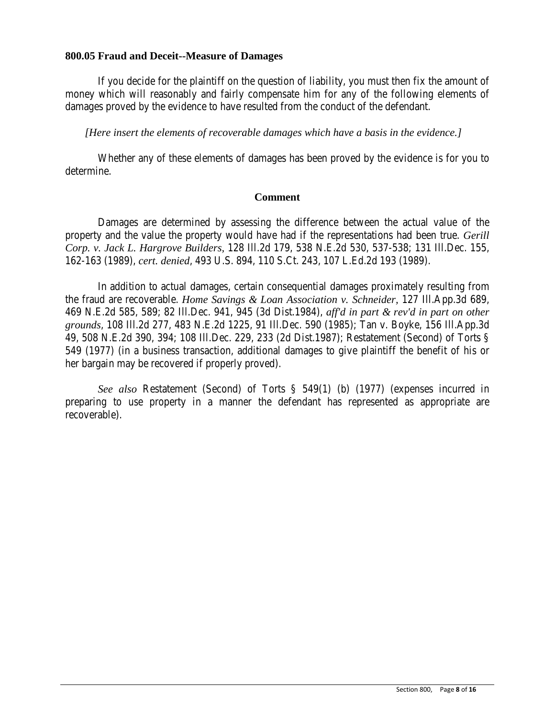### **800.05 Fraud and Deceit--Measure of Damages**

If you decide for the plaintiff on the question of liability, you must then fix the amount of money which will reasonably and fairly compensate him for any of the following elements of damages proved by the evidence to have resulted from the conduct of the defendant.

*[Here insert the elements of recoverable damages which have a basis in the evidence.]*

Whether any of these elements of damages has been proved by the evidence is for you to determine.

#### **Comment**

Damages are determined by assessing the difference between the actual value of the property and the value the property would have had if the representations had been true. *Gerill Corp. v. Jack L. Hargrove Builders,* 128 Ill.2d 179, 538 N.E.2d 530, 537-538; 131 Ill.Dec. 155, 162-163 (1989), *cert. denied*, 493 U.S. 894, 110 S.Ct. 243, 107 L.Ed.2d 193 (1989).

In addition to actual damages, certain consequential damages proximately resulting from the fraud are recoverable. *Home Savings & Loan Association v. Schneider,* 127 Ill.App.3d 689, 469 N.E.2d 585, 589; 82 Ill.Dec. 941, 945 (3d Dist.1984), *aff'd in part & rev'd in part on other grounds*, 108 Ill.2d 277, 483 N.E.2d 1225, 91 Ill.Dec. 590 (1985); Tan v. Boyke, 156 Ill.App.3d 49, 508 N.E.2d 390, 394; 108 Ill.Dec. 229, 233 (2d Dist.1987); Restatement (Second) of Torts § 549 (1977) (in a business transaction, additional damages to give plaintiff the benefit of his or her bargain may be recovered if properly proved).

*See also* Restatement (Second) of Torts § 549(1) (b) (1977) (expenses incurred in preparing to use property in a manner the defendant has represented as appropriate are recoverable).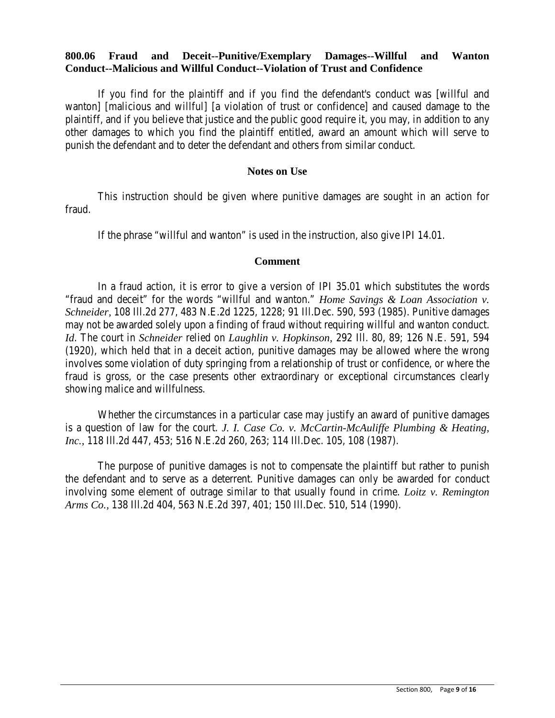## **800.06 Fraud and Deceit--Punitive/Exemplary Damages--Willful and Wanton Conduct--Malicious and Willful Conduct--Violation of Trust and Confidence**

If you find for the plaintiff and if you find the defendant's conduct was [willful and wanton] [malicious and willful] [a violation of trust or confidence] and caused damage to the plaintiff, and if you believe that justice and the public good require it, you may, in addition to any other damages to which you find the plaintiff entitled, award an amount which will serve to punish the defendant and to deter the defendant and others from similar conduct.

## **Notes on Use**

This instruction should be given where punitive damages are sought in an action for fraud.

If the phrase "willful and wanton" is used in the instruction, also give IPI 14.01.

#### **Comment**

In a fraud action, it is error to give a version of IPI 35.01 which substitutes the words "fraud and deceit" for the words "willful and wanton." *Home Savings & Loan Association v. Schneider,* 108 Ill.2d 277, 483 N.E.2d 1225, 1228; 91 Ill.Dec. 590, 593 (1985). Punitive damages may not be awarded solely upon a finding of fraud without requiring willful and wanton conduct. *Id*. The court in *Schneider* relied on *Laughlin v. Hopkinson,* 292 Ill. 80, 89; 126 N.E. 591, 594 (1920), which held that in a deceit action, punitive damages may be allowed where the wrong involves some violation of duty springing from a relationship of trust or confidence, or where the fraud is gross, or the case presents other extraordinary or exceptional circumstances clearly showing malice and willfulness.

Whether the circumstances in a particular case may justify an award of punitive damages is a question of law for the court. *J. I. Case Co. v. McCartin-McAuliffe Plumbing & Heating, Inc.,* 118 Ill.2d 447, 453; 516 N.E.2d 260, 263; 114 Ill.Dec. 105, 108 (1987).

The purpose of punitive damages is not to compensate the plaintiff but rather to punish the defendant and to serve as a deterrent. Punitive damages can only be awarded for conduct involving some element of outrage similar to that usually found in crime. *Loitz v. Remington Arms Co.,* 138 Ill.2d 404, 563 N.E.2d 397, 401; 150 Ill.Dec. 510, 514 (1990).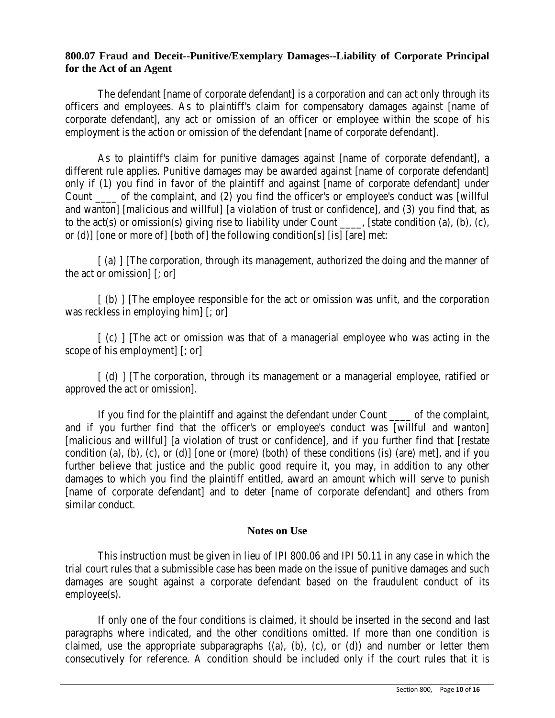# **800.07 Fraud and Deceit--Punitive/Exemplary Damages--Liability of Corporate Principal for the Act of an Agent**

The defendant [name of corporate defendant] is a corporation and can act only through its officers and employees. As to plaintiff's claim for compensatory damages against [name of corporate defendant], any act or omission of an officer or employee within the scope of his employment is the action or omission of the defendant [name of corporate defendant].

As to plaintiff's claim for punitive damages against [name of corporate defendant], a different rule applies. Punitive damages may be awarded against [name of corporate defendant] only if (1) you find in favor of the plaintiff and against [name of corporate defendant] under Count \_\_\_\_ of the complaint, and (2) you find the officer's or employee's conduct was [willful and wanton] [malicious and willful] [a violation of trust or confidence], and (3) you find that, as to the act(s) or omission(s) giving rise to liability under Count \_\_\_\_, [state condition (a), (b), (c), or (d)] [one or more of] [both of] the following condition[s] [is] [are] met:

[ (a) ] [The corporation, through its management, authorized the doing and the manner of the act or omission] [; or]

[ (b) ] [The employee responsible for the act or omission was unfit, and the corporation was reckless in employing him] [; or]

[ (c) ] [The act or omission was that of a managerial employee who was acting in the scope of his employment] [; or]

[ (d) ] [The corporation, through its management or a managerial employee, ratified or approved the act or omission].

If you find for the plaintiff and against the defendant under Count \_\_\_\_ of the complaint, and if you further find that the officer's or employee's conduct was [willful and wanton] [malicious and willful] [a violation of trust or confidence], and if you further find that [restate condition (a), (b), (c), or (d)] [one or (more) (both) of these conditions (is) (are) met], and if you further believe that justice and the public good require it, you may, in addition to any other damages to which you find the plaintiff entitled, award an amount which will serve to punish [name of corporate defendant] and to deter [name of corporate defendant] and others from similar conduct.

## **Notes on Use**

This instruction must be given in lieu of IPI 800.06 and IPI 50.11 in any case in which the trial court rules that a submissible case has been made on the issue of punitive damages and such damages are sought against a corporate defendant based on the fraudulent conduct of its employee(s).

If only one of the four conditions is claimed, it should be inserted in the second and last paragraphs where indicated, and the other conditions omitted. If more than one condition is claimed, use the appropriate subparagraphs  $((a), (b), (c), or (d))$  and number or letter them consecutively for reference. A condition should be included only if the court rules that it is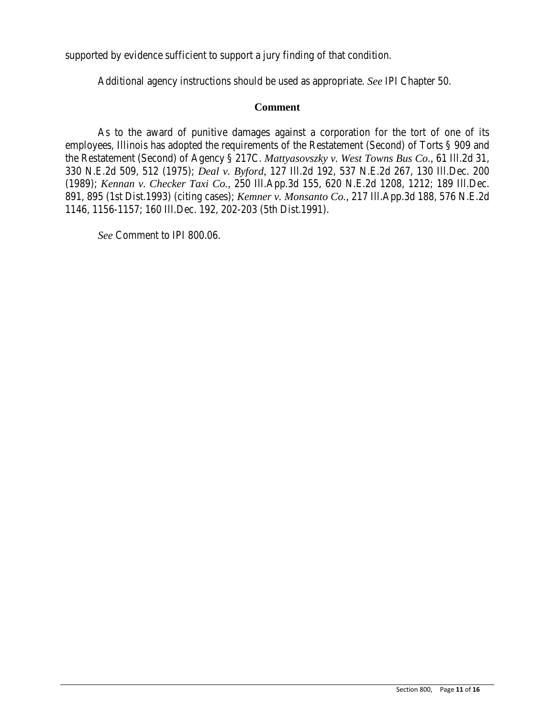supported by evidence sufficient to support a jury finding of that condition.

Additional agency instructions should be used as appropriate. *See* IPI Chapter 50.

### **Comment**

As to the award of punitive damages against a corporation for the tort of one of its employees, Illinois has adopted the requirements of the Restatement (Second) of Torts § 909 and the Restatement (Second) of Agency § 217C. *Mattyasovszky v. West Towns Bus Co.,* 61 Ill.2d 31, 330 N.E.2d 509, 512 (1975); *Deal v. Byford,* 127 Ill.2d 192, 537 N.E.2d 267, 130 Ill.Dec. 200 (1989); *Kennan v. Checker Taxi Co.,* 250 Ill.App.3d 155, 620 N.E.2d 1208, 1212; 189 Ill.Dec. 891, 895 (1st Dist.1993) (citing cases); *Kemner v. Monsanto Co.,* 217 Ill.App.3d 188, 576 N.E.2d 1146, 1156-1157; 160 Ill.Dec. 192, 202-203 (5th Dist.1991).

*See* Comment to IPI 800.06.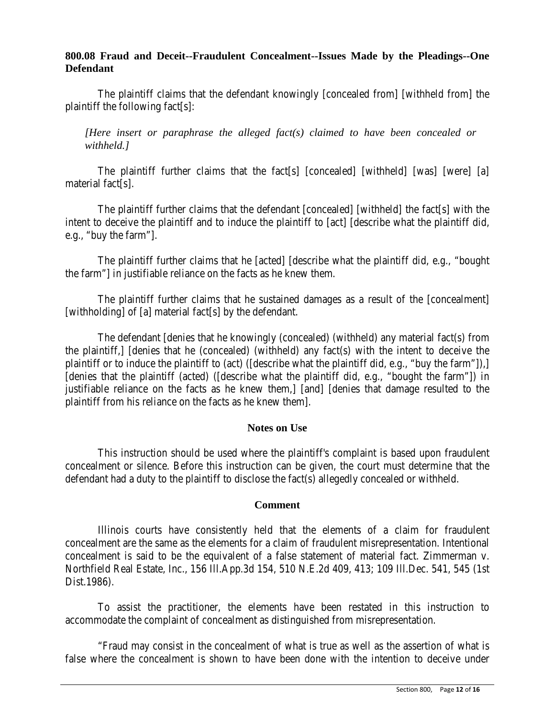## **800.08 Fraud and Deceit--Fraudulent Concealment--Issues Made by the Pleadings--One Defendant**

The plaintiff claims that the defendant knowingly [concealed from] [withheld from] the plaintiff the following fact[s]:

*[Here insert or paraphrase the alleged fact(s) claimed to have been concealed or withheld.]*

The plaintiff further claims that the fact[s] [concealed] [withheld] [was] [were] [a] material fact[s].

The plaintiff further claims that the defendant [concealed] [withheld] the fact[s] with the intent to deceive the plaintiff and to induce the plaintiff to [act] [describe what the plaintiff did, e.g., "buy the farm"].

The plaintiff further claims that he [acted] [describe what the plaintiff did, e.g., "bought the farm"] in justifiable reliance on the facts as he knew them.

The plaintiff further claims that he sustained damages as a result of the [concealment] [withholding] of [a] material fact[s] by the defendant.

The defendant [denies that he knowingly (concealed) (withheld) any material fact(s) from the plaintiff,] [denies that he (concealed) (withheld) any fact(s) with the intent to deceive the plaintiff or to induce the plaintiff to (act) ([describe what the plaintiff did, e.g., "buy the farm"]),] [denies that the plaintiff (acted) ([describe what the plaintiff did, e.g., "bought the farm"]) in justifiable reliance on the facts as he knew them,] [and] [denies that damage resulted to the plaintiff from his reliance on the facts as he knew them].

## **Notes on Use**

This instruction should be used where the plaintiff's complaint is based upon fraudulent concealment or silence. Before this instruction can be given, the court must determine that the defendant had a duty to the plaintiff to disclose the fact(s) allegedly concealed or withheld.

## **Comment**

Illinois courts have consistently held that the elements of a claim for fraudulent concealment are the same as the elements for a claim of fraudulent misrepresentation. Intentional concealment is said to be the equivalent of a false statement of material fact. Zimmerman v. Northfield Real Estate, Inc., 156 Ill.App.3d 154, 510 N.E.2d 409, 413; 109 Ill.Dec. 541, 545 (1st Dist.1986).

To assist the practitioner, the elements have been restated in this instruction to accommodate the complaint of concealment as distinguished from misrepresentation.

"Fraud may consist in the concealment of what is true as well as the assertion of what is false where the concealment is shown to have been done with the intention to deceive under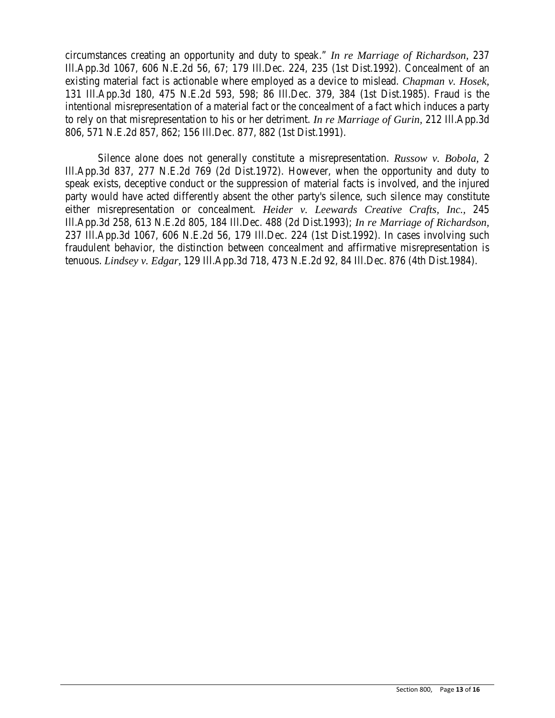circumstances creating an opportunity and duty to speak." *In re Marriage of Richardson,* 237 Ill.App.3d 1067, 606 N.E.2d 56, 67; 179 Ill.Dec. 224, 235 (1st Dist.1992). Concealment of an existing material fact is actionable where employed as a device to mislead. *Chapman v. Hosek,* 131 Ill.App.3d 180, 475 N.E.2d 593, 598; 86 Ill.Dec. 379, 384 (1st Dist.1985). Fraud is the intentional misrepresentation of a material fact or the concealment of a fact which induces a party to rely on that misrepresentation to his or her detriment. *In re Marriage of Gurin,* 212 Ill.App.3d 806, 571 N.E.2d 857, 862; 156 Ill.Dec. 877, 882 (1st Dist.1991).

Silence alone does not generally constitute a misrepresentation. *Russow v. Bobola,* 2 Ill.App.3d 837, 277 N.E.2d 769 (2d Dist.1972). However, when the opportunity and duty to speak exists, deceptive conduct or the suppression of material facts is involved, and the injured party would have acted differently absent the other party's silence, such silence may constitute either misrepresentation or concealment. *Heider v. Leewards Creative Crafts, Inc.,* 245 Ill.App.3d 258, 613 N.E.2d 805, 184 Ill.Dec. 488 (2d Dist.1993); *In re Marriage of Richardson,* 237 Ill.App.3d 1067, 606 N.E.2d 56, 179 Ill.Dec. 224 (1st Dist.1992). In cases involving such fraudulent behavior, the distinction between concealment and affirmative misrepresentation is tenuous. *Lindsey v. Edgar,* 129 Ill.App.3d 718, 473 N.E.2d 92, 84 Ill.Dec. 876 (4th Dist.1984).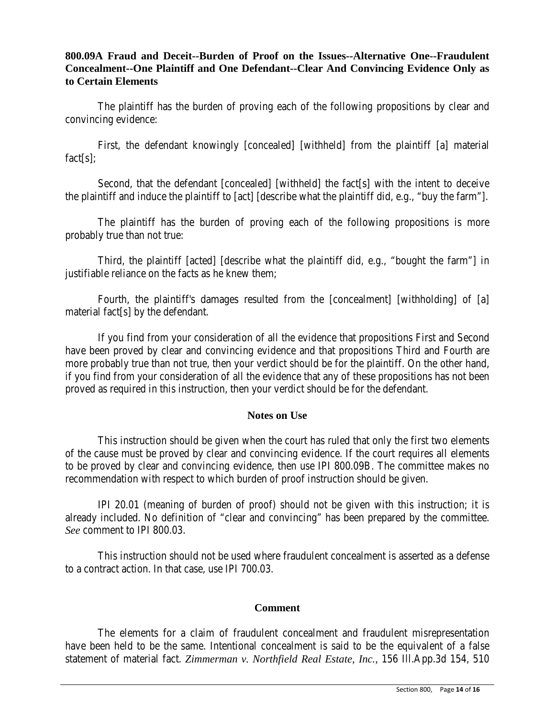# **800.09A Fraud and Deceit--Burden of Proof on the Issues--Alternative One--Fraudulent Concealment--One Plaintiff and One Defendant--Clear And Convincing Evidence Only as to Certain Elements**

The plaintiff has the burden of proving each of the following propositions by clear and convincing evidence:

First, the defendant knowingly [concealed] [withheld] from the plaintiff [a] material fact[s];

Second, that the defendant [concealed] [withheld] the fact[s] with the intent to deceive the plaintiff and induce the plaintiff to [act] [describe what the plaintiff did, e.g., "buy the farm"].

The plaintiff has the burden of proving each of the following propositions is more probably true than not true:

Third, the plaintiff [acted] [describe what the plaintiff did, e.g., "bought the farm"] in justifiable reliance on the facts as he knew them;

Fourth, the plaintiff's damages resulted from the [concealment] [withholding] of [a] material fact[s] by the defendant.

If you find from your consideration of all the evidence that propositions First and Second have been proved by clear and convincing evidence and that propositions Third and Fourth are more probably true than not true, then your verdict should be for the plaintiff. On the other hand, if you find from your consideration of all the evidence that any of these propositions has not been proved as required in this instruction, then your verdict should be for the defendant.

## **Notes on Use**

This instruction should be given when the court has ruled that only the first two elements of the cause must be proved by clear and convincing evidence. If the court requires all elements to be proved by clear and convincing evidence, then use IPI 800.09B. The committee makes no recommendation with respect to which burden of proof instruction should be given.

IPI 20.01 (meaning of burden of proof) should not be given with this instruction; it is already included. No definition of "clear and convincing" has been prepared by the committee. *See* comment to IPI 800.03.

This instruction should not be used where fraudulent concealment is asserted as a defense to a contract action. In that case, use IPI 700.03.

## **Comment**

The elements for a claim of fraudulent concealment and fraudulent misrepresentation have been held to be the same. Intentional concealment is said to be the equivalent of a false statement of material fact. *Zimmerman v. Northfield Real Estate, Inc.,* 156 Ill.App.3d 154, 510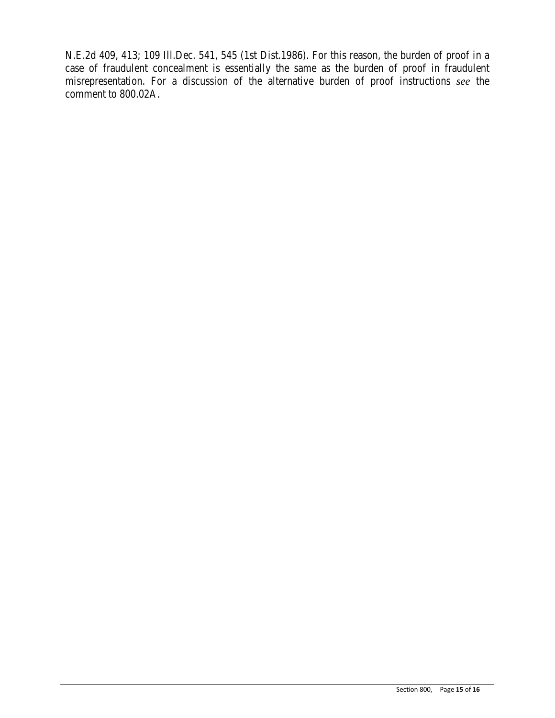N.E.2d 409, 413; 109 Ill.Dec. 541, 545 (1st Dist.1986). For this reason, the burden of proof in a case of fraudulent concealment is essentially the same as the burden of proof in fraudulent misrepresentation. For a discussion of the alternative burden of proof instructions *see* the comment to 800.02A.